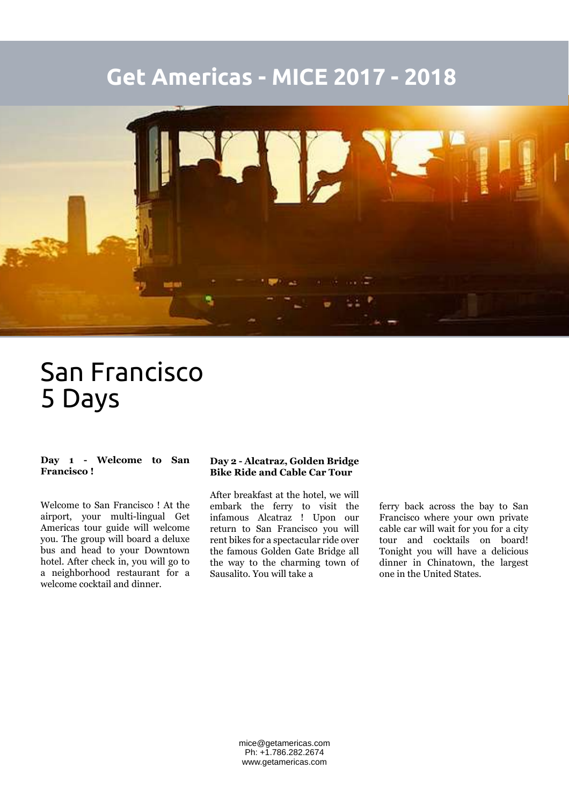# **Get Americas - MICE 2017 - 2018**



# San Francisco 5 Days

#### **Day 1 - Welcome to San Francisco !**

Welcome to San Francisco ! At the airport, your multi-lingual Get Americas tour guide will welcome you. The group will board a deluxe bus and head to your Downtown hotel. After check in, you will go to a neighborhood restaurant for a welcome cocktail and dinner.

#### **Day 2 - Alcatraz, Golden Bridge Bike Ride and Cable Car Tour**

After breakfast at the hotel, we will embark the ferry to visit the infamous Alcatraz ! Upon our return to San Francisco you will rent bikes for a spectacular ride over the famous Golden Gate Bridge all the way to the charming town of Sausalito. You will take a

ferry back across the bay to San Francisco where your own private cable car will wait for you for a city tour and cocktails on board! Tonight you will have a delicious dinner in Chinatown, the largest one in the United States.